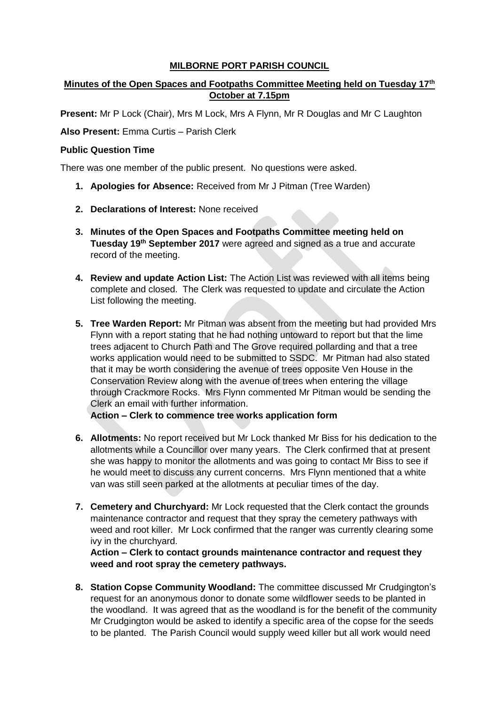## **MILBORNE PORT PARISH COUNCIL**

# **Minutes of the Open Spaces and Footpaths Committee Meeting held on Tuesday 17th October at 7.15pm**

**Present:** Mr P Lock (Chair), Mrs M Lock, Mrs A Flynn, Mr R Douglas and Mr C Laughton

**Also Present:** Emma Curtis – Parish Clerk

#### **Public Question Time**

There was one member of the public present. No questions were asked.

- **1. Apologies for Absence:** Received from Mr J Pitman (Tree Warden)
- **2. Declarations of Interest:** None received
- **3. Minutes of the Open Spaces and Footpaths Committee meeting held on Tuesday 19th September 2017** were agreed and signed as a true and accurate record of the meeting.
- **4. Review and update Action List:** The Action List was reviewed with all items being complete and closed. The Clerk was requested to update and circulate the Action List following the meeting.
- **5. Tree Warden Report:** Mr Pitman was absent from the meeting but had provided Mrs Flynn with a report stating that he had nothing untoward to report but that the lime trees adjacent to Church Path and The Grove required pollarding and that a tree works application would need to be submitted to SSDC. Mr Pitman had also stated that it may be worth considering the avenue of trees opposite Ven House in the Conservation Review along with the avenue of trees when entering the village through Crackmore Rocks. Mrs Flynn commented Mr Pitman would be sending the Clerk an email with further information.

**Action – Clerk to commence tree works application form**

- **6. Allotments:** No report received but Mr Lock thanked Mr Biss for his dedication to the allotments while a Councillor over many years. The Clerk confirmed that at present she was happy to monitor the allotments and was going to contact Mr Biss to see if he would meet to discuss any current concerns. Mrs Flynn mentioned that a white van was still seen parked at the allotments at peculiar times of the day.
- **7. Cemetery and Churchyard:** Mr Lock requested that the Clerk contact the grounds maintenance contractor and request that they spray the cemetery pathways with weed and root killer. Mr Lock confirmed that the ranger was currently clearing some ivy in the churchyard.

**Action – Clerk to contact grounds maintenance contractor and request they weed and root spray the cemetery pathways.**

**8. Station Copse Community Woodland:** The committee discussed Mr Crudgington's request for an anonymous donor to donate some wildflower seeds to be planted in the woodland. It was agreed that as the woodland is for the benefit of the community Mr Crudgington would be asked to identify a specific area of the copse for the seeds to be planted. The Parish Council would supply weed killer but all work would need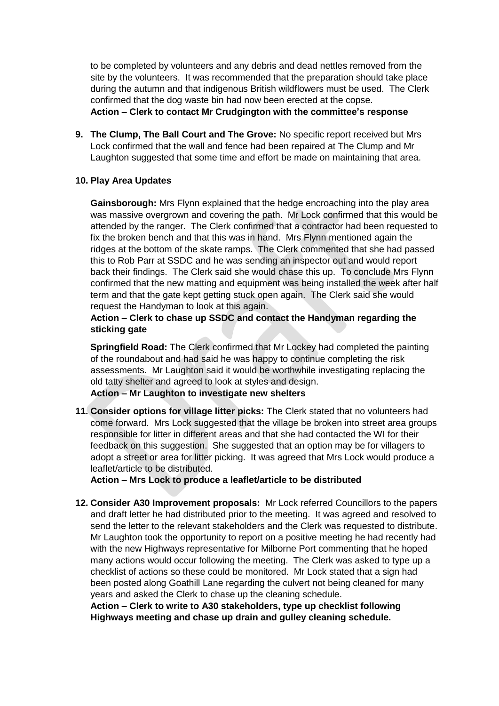to be completed by volunteers and any debris and dead nettles removed from the site by the volunteers. It was recommended that the preparation should take place during the autumn and that indigenous British wildflowers must be used. The Clerk confirmed that the dog waste bin had now been erected at the copse. **Action – Clerk to contact Mr Crudgington with the committee's response**

**9. The Clump, The Ball Court and The Grove:** No specific report received but Mrs Lock confirmed that the wall and fence had been repaired at The Clump and Mr Laughton suggested that some time and effort be made on maintaining that area.

## **10. Play Area Updates**

**Gainsborough:** Mrs Flynn explained that the hedge encroaching into the play area was massive overgrown and covering the path. Mr Lock confirmed that this would be attended by the ranger. The Clerk confirmed that a contractor had been requested to fix the broken bench and that this was in hand. Mrs Flynn mentioned again the ridges at the bottom of the skate ramps. The Clerk commented that she had passed this to Rob Parr at SSDC and he was sending an inspector out and would report back their findings. The Clerk said she would chase this up. To conclude Mrs Flynn confirmed that the new matting and equipment was being installed the week after half term and that the gate kept getting stuck open again. The Clerk said she would request the Handyman to look at this again.

## **Action – Clerk to chase up SSDC and contact the Handyman regarding the sticking gate**

**Springfield Road:** The Clerk confirmed that Mr Lockey had completed the painting of the roundabout and had said he was happy to continue completing the risk assessments. Mr Laughton said it would be worthwhile investigating replacing the old tatty shelter and agreed to look at styles and design. **Action – Mr Laughton to investigate new shelters**

**11. Consider options for village litter picks:** The Clerk stated that no volunteers had come forward. Mrs Lock suggested that the village be broken into street area groups responsible for litter in different areas and that she had contacted the WI for their feedback on this suggestion. She suggested that an option may be for villagers to adopt a street or area for litter picking. It was agreed that Mrs Lock would produce a leaflet/article to be distributed.

**Action – Mrs Lock to produce a leaflet/article to be distributed**

**12. Consider A30 Improvement proposals:** Mr Lock referred Councillors to the papers and draft letter he had distributed prior to the meeting. It was agreed and resolved to send the letter to the relevant stakeholders and the Clerk was requested to distribute. Mr Laughton took the opportunity to report on a positive meeting he had recently had with the new Highways representative for Milborne Port commenting that he hoped many actions would occur following the meeting. The Clerk was asked to type up a checklist of actions so these could be monitored. Mr Lock stated that a sign had been posted along Goathill Lane regarding the culvert not being cleaned for many years and asked the Clerk to chase up the cleaning schedule.

**Action – Clerk to write to A30 stakeholders, type up checklist following Highways meeting and chase up drain and gulley cleaning schedule.**